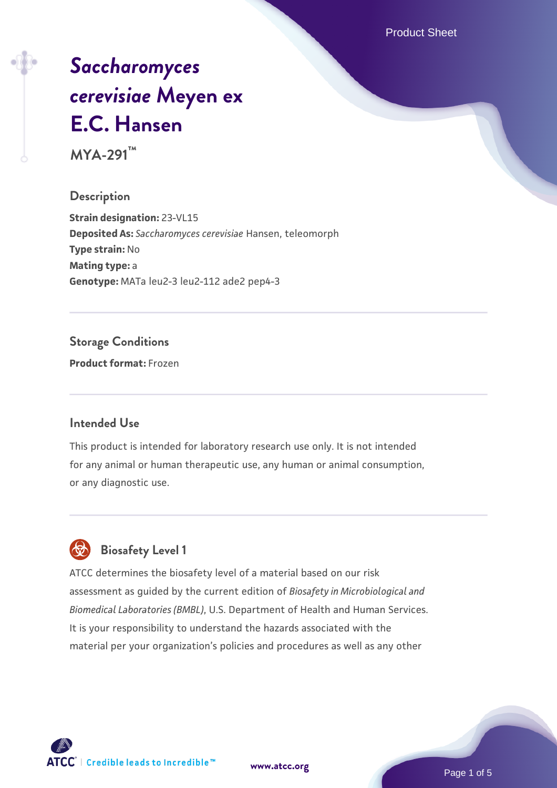Product Sheet

# *[Saccharomyces](https://www.atcc.org/products/mya-291) [cerevisiae](https://www.atcc.org/products/mya-291)* **[Meyen ex](https://www.atcc.org/products/mya-291) [E.C. Hansen](https://www.atcc.org/products/mya-291)**

**MYA-291™**

### **Description**

**Strain designation:** 23-VL15 **Deposited As:** *Saccharomyces cerevisiae* Hansen, teleomorph **Type strain:** No **Mating type:** a **Genotype:** MATa leu2-3 leu2-112 ade2 pep4-3

### **Storage Conditions**

**Product format:** Frozen

### **Intended Use**

This product is intended for laboratory research use only. It is not intended for any animal or human therapeutic use, any human or animal consumption, or any diagnostic use.



### **Biosafety Level 1**

ATCC determines the biosafety level of a material based on our risk assessment as guided by the current edition of *Biosafety in Microbiological and Biomedical Laboratories (BMBL)*, U.S. Department of Health and Human Services. It is your responsibility to understand the hazards associated with the material per your organization's policies and procedures as well as any other

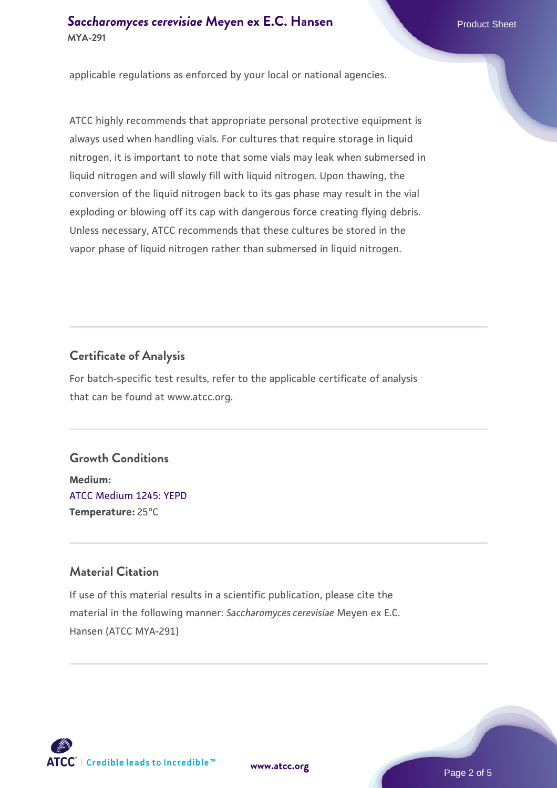### **[Saccharomyces cerevisiae](https://www.atcc.org/products/mya-291)** [Meyen ex E.C. Hansen](https://www.atcc.org/products/mya-291) **MYA-291**

applicable regulations as enforced by your local or national agencies.

ATCC highly recommends that appropriate personal protective equipment is always used when handling vials. For cultures that require storage in liquid nitrogen, it is important to note that some vials may leak when submersed in liquid nitrogen and will slowly fill with liquid nitrogen. Upon thawing, the conversion of the liquid nitrogen back to its gas phase may result in the vial exploding or blowing off its cap with dangerous force creating flying debris. Unless necessary, ATCC recommends that these cultures be stored in the vapor phase of liquid nitrogen rather than submersed in liquid nitrogen.

### **Certificate of Analysis**

For batch-specific test results, refer to the applicable certificate of analysis that can be found at www.atcc.org.

### **Growth Conditions**

**Medium:**  [ATCC Medium 1245: YEPD](https://www.atcc.org/-/media/product-assets/documents/microbial-media-formulations/1/2/4/5/atcc-medium-1245.pdf?rev=705ca55d1b6f490a808a965d5c072196) **Temperature:** 25°C

### **Material Citation**

If use of this material results in a scientific publication, please cite the material in the following manner: *Saccharomyces cerevisiae* Meyen ex E.C. Hansen (ATCC MYA-291)



**[www.atcc.org](http://www.atcc.org)**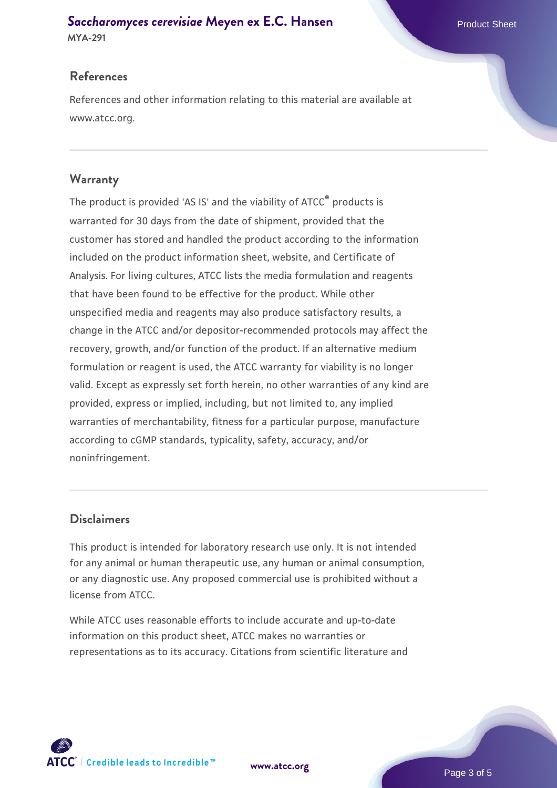## **[Saccharomyces cerevisiae](https://www.atcc.org/products/mya-291)** [Meyen ex E.C. Hansen](https://www.atcc.org/products/mya-291)

**MYA-291**

### **References**

References and other information relating to this material are available at www.atcc.org.

### **Warranty**

The product is provided 'AS IS' and the viability of ATCC® products is warranted for 30 days from the date of shipment, provided that the customer has stored and handled the product according to the information included on the product information sheet, website, and Certificate of Analysis. For living cultures, ATCC lists the media formulation and reagents that have been found to be effective for the product. While other unspecified media and reagents may also produce satisfactory results, a change in the ATCC and/or depositor-recommended protocols may affect the recovery, growth, and/or function of the product. If an alternative medium formulation or reagent is used, the ATCC warranty for viability is no longer valid. Except as expressly set forth herein, no other warranties of any kind are provided, express or implied, including, but not limited to, any implied warranties of merchantability, fitness for a particular purpose, manufacture according to cGMP standards, typicality, safety, accuracy, and/or noninfringement.

### **Disclaimers**

This product is intended for laboratory research use only. It is not intended for any animal or human therapeutic use, any human or animal consumption, or any diagnostic use. Any proposed commercial use is prohibited without a license from ATCC.

While ATCC uses reasonable efforts to include accurate and up-to-date information on this product sheet, ATCC makes no warranties or representations as to its accuracy. Citations from scientific literature and

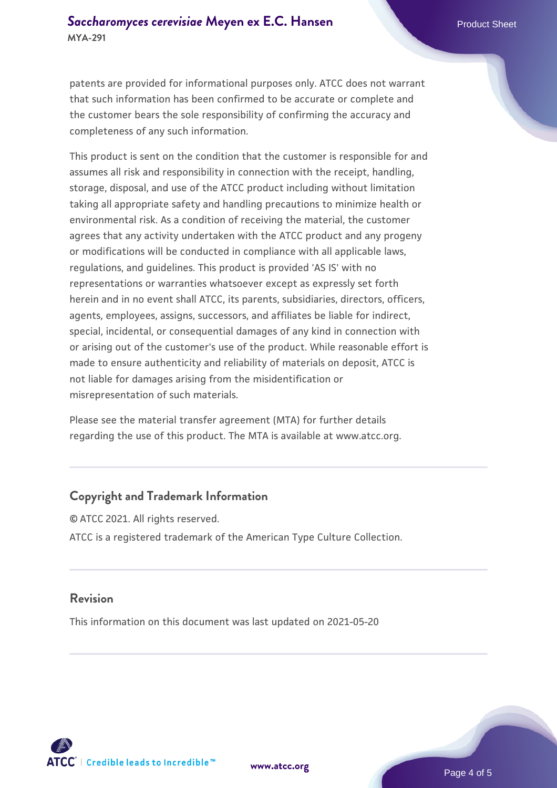patents are provided for informational purposes only. ATCC does not warrant that such information has been confirmed to be accurate or complete and the customer bears the sole responsibility of confirming the accuracy and completeness of any such information.

This product is sent on the condition that the customer is responsible for and assumes all risk and responsibility in connection with the receipt, handling, storage, disposal, and use of the ATCC product including without limitation taking all appropriate safety and handling precautions to minimize health or environmental risk. As a condition of receiving the material, the customer agrees that any activity undertaken with the ATCC product and any progeny or modifications will be conducted in compliance with all applicable laws, regulations, and guidelines. This product is provided 'AS IS' with no representations or warranties whatsoever except as expressly set forth herein and in no event shall ATCC, its parents, subsidiaries, directors, officers, agents, employees, assigns, successors, and affiliates be liable for indirect, special, incidental, or consequential damages of any kind in connection with or arising out of the customer's use of the product. While reasonable effort is made to ensure authenticity and reliability of materials on deposit, ATCC is not liable for damages arising from the misidentification or misrepresentation of such materials.

Please see the material transfer agreement (MTA) for further details regarding the use of this product. The MTA is available at www.atcc.org.

### **Copyright and Trademark Information**

© ATCC 2021. All rights reserved. ATCC is a registered trademark of the American Type Culture Collection.

#### **Revision**

This information on this document was last updated on 2021-05-20



**[www.atcc.org](http://www.atcc.org)**

Page 4 of 5